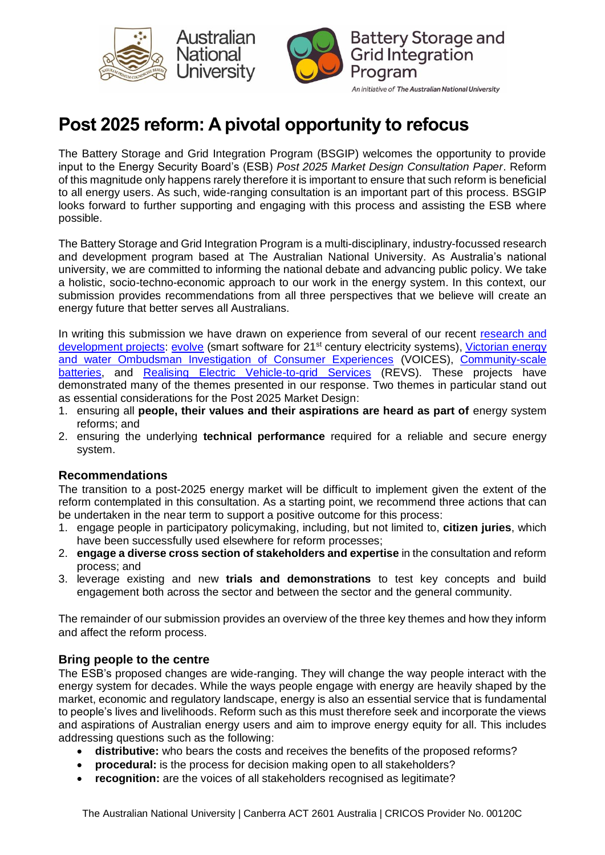



# **Post 2025 reform: A pivotal opportunity to refocus**

The Battery Storage and Grid Integration Program (BSGIP) welcomes the opportunity to provide input to the Energy Security Board's (ESB) *Post 2025 Market Design Consultation Paper*. Reform of this magnitude only happens rarely therefore it is important to ensure that such reform is beneficial to all energy users. As such, wide-ranging consultation is an important part of this process. BSGIP looks forward to further supporting and engaging with this process and assisting the ESB where possible.

The Battery Storage and Grid Integration Program is a multi-disciplinary, industry-focussed research and development program based at The Australian National University. As Australia's national university, we are committed to informing the national debate and advancing public policy. We take a holistic, socio-techno-economic approach to our work in the energy system. In this context, our submission provides recommendations from all three perspectives that we believe will create an energy future that better serves all Australians.

In writing this submission we have drawn on experience from several of our recent [research](https://bsgip.com/research/projects/) and [development](https://bsgip.com/research/projects/) projects: [evolve](http://bsgip.com/evolve/) (smart software for 21<sup>st</sup> century electricity systems), Victorian energy [and water Ombudsman Investigation of Consumer Experiences](https://bsgip.com/research/new-energy-voices-victorian-ombudsman-investigation-of-consumer-experiences/) (VOICES), [Community-scale](https://arena.gov.au/projects/community-models-for-deploying-and-operating-distributed-energy-resources/)  [batteries,](https://arena.gov.au/projects/community-models-for-deploying-and-operating-distributed-energy-resources/) and [Realising Electric Vehicle-to-grid](https://bsgip.com/research/realising-electric-vehicles-to-grid-services/) Services (REVS). These projects have demonstrated many of the themes presented in our response. Two themes in particular stand out as essential considerations for the Post 2025 Market Design:

- 1. ensuring all **people, their values and their aspirations are heard as part of** energy system reforms; and
- 2. ensuring the underlying **technical performance** required for a reliable and secure energy system.

## **Recommendations**

The transition to a post-2025 energy market will be difficult to implement given the extent of the reform contemplated in this consultation. As a starting point, we recommend three actions that can be undertaken in the near term to support a positive outcome for this process:

- 1. engage people in participatory policymaking, including, but not limited to, **citizen juries**, which have been successfully used elsewhere for reform processes;
- 2. **engage a diverse cross section of stakeholders and expertise** in the consultation and reform process; and
- 3. leverage existing and new **trials and demonstrations** to test key concepts and build engagement both across the sector and between the sector and the general community.

The remainder of our submission provides an overview of the three key themes and how they inform and affect the reform process.

## **Bring people to the centre**

The ESB's proposed changes are wide-ranging. They will change the way people interact with the energy system for decades. While the ways people engage with energy are heavily shaped by the market, economic and regulatory landscape, energy is also an essential service that is fundamental to people's lives and livelihoods. Reform such as this must therefore seek and incorporate the views and aspirations of Australian energy users and aim to improve energy equity for all. This includes addressing questions such as the following:

- **distributive:** who bears the costs and receives the benefits of the proposed reforms?
- **procedural:** is the process for decision making open to all stakeholders?
- **recognition:** are the voices of all stakeholders recognised as legitimate?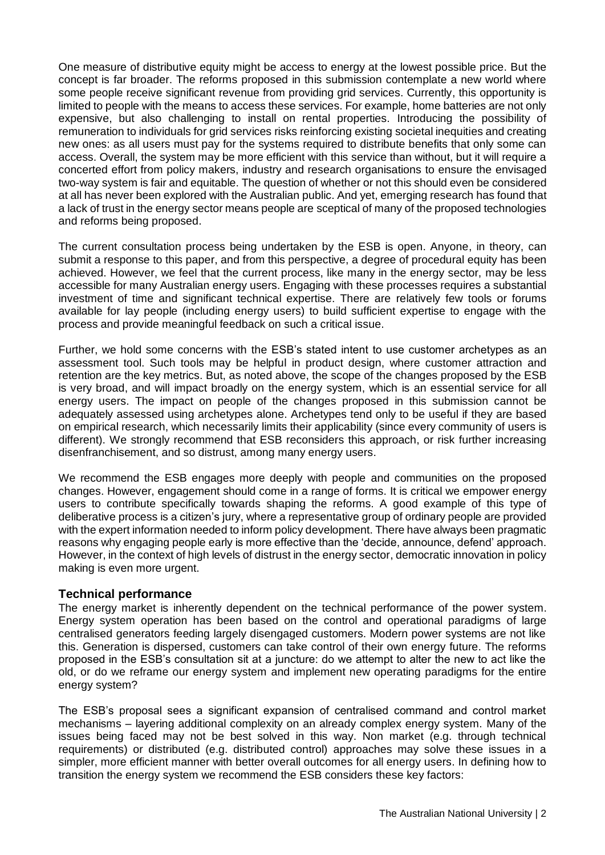One measure of distributive equity might be access to energy at the lowest possible price. But the concept is far broader. The reforms proposed in this submission contemplate a new world where some people receive significant revenue from providing grid services. Currently, this opportunity is limited to people with the means to access these services. For example, home batteries are not only expensive, but also challenging to install on rental properties. Introducing the possibility of remuneration to individuals for grid services risks reinforcing existing societal inequities and creating new ones: as all users must pay for the systems required to distribute benefits that only some can access. Overall, the system may be more efficient with this service than without, but it will require a concerted effort from policy makers, industry and research organisations to ensure the envisaged two-way system is fair and equitable. The question of whether or not this should even be considered at all has never been explored with the Australian public. And yet, emerging research has found that a lack of trust in the energy sector means people are sceptical of many of the proposed technologies and reforms being proposed.

The current consultation process being undertaken by the ESB is open. Anyone, in theory, can submit a response to this paper, and from this perspective, a degree of procedural equity has been achieved. However, we feel that the current process, like many in the energy sector, may be less accessible for many Australian energy users. Engaging with these processes requires a substantial investment of time and significant technical expertise. There are relatively few tools or forums available for lay people (including energy users) to build sufficient expertise to engage with the process and provide meaningful feedback on such a critical issue.

Further, we hold some concerns with the ESB's stated intent to use customer archetypes as an assessment tool. Such tools may be helpful in product design, where customer attraction and retention are the key metrics. But, as noted above, the scope of the changes proposed by the ESB is very broad, and will impact broadly on the energy system, which is an essential service for all energy users. The impact on people of the changes proposed in this submission cannot be adequately assessed using archetypes alone. Archetypes tend only to be useful if they are based on empirical research, which necessarily limits their applicability (since every community of users is different). We strongly recommend that ESB reconsiders this approach, or risk further increasing disenfranchisement, and so distrust, among many energy users.

We recommend the ESB engages more deeply with people and communities on the proposed changes. However, engagement should come in a range of forms. It is critical we empower energy users to contribute specifically towards shaping the reforms. A good example of this type of deliberative process is a citizen's jury, where a representative group of ordinary people are provided with the expert information needed to inform policy development. There have always been pragmatic reasons why engaging people early is more effective than the 'decide, announce, defend' approach. However, in the context of high levels of distrust in the energy sector, democratic innovation in policy making is even more urgent.

#### **Technical performance**

The energy market is inherently dependent on the technical performance of the power system. Energy system operation has been based on the control and operational paradigms of large centralised generators feeding largely disengaged customers. Modern power systems are not like this. Generation is dispersed, customers can take control of their own energy future. The reforms proposed in the ESB's consultation sit at a juncture: do we attempt to alter the new to act like the old, or do we reframe our energy system and implement new operating paradigms for the entire energy system?

The ESB's proposal sees a significant expansion of centralised command and control market mechanisms – layering additional complexity on an already complex energy system. Many of the issues being faced may not be best solved in this way. Non market (e.g. through technical requirements) or distributed (e.g. distributed control) approaches may solve these issues in a simpler, more efficient manner with better overall outcomes for all energy users. In defining how to transition the energy system we recommend the ESB considers these key factors: